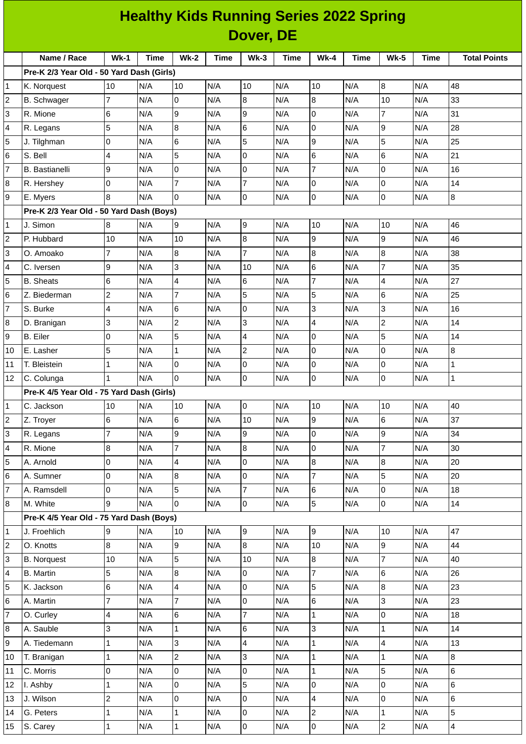| <b>Healthy Kids Running Series 2022 Spring</b> |                                           |                |             |                 |             |                  |             |                |             |                     |             |                     |
|------------------------------------------------|-------------------------------------------|----------------|-------------|-----------------|-------------|------------------|-------------|----------------|-------------|---------------------|-------------|---------------------|
|                                                | Dover, DE                                 |                |             |                 |             |                  |             |                |             |                     |             |                     |
|                                                | Name / Race                               | $Wk-1$         | <b>Time</b> | <b>Wk-2</b>     | <b>Time</b> | $Wk-3$           | <b>Time</b> | $Wk-4$         | <b>Time</b> | <b>Wk-5</b>         | <b>Time</b> | <b>Total Points</b> |
|                                                | Pre-K 2/3 Year Old - 50 Yard Dash (Girls) |                |             |                 |             |                  |             |                |             |                     |             |                     |
| 1                                              | K. Norquest                               | 10             | N/A         | 10              | N/A         | 10               | N/A         | 10             | N/A         | 8                   | N/A         | 48                  |
| $\overline{c}$                                 | <b>B.</b> Schwager                        | 7              | N/A         | l0              | N/A         | 8                | N/A         | 8              | N/A         | 10                  | N/A         | 33                  |
| 3                                              | R. Mione                                  | 6              | N/A         | 9               | N/A         | 9                | N/A         | 0              | N/A         | $\overline{7}$      | N/A         | 31                  |
| 4                                              | R. Legans                                 | 5              | N/A         | $\overline{8}$  | N/A         | 6                | N/A         | 0              | N/A         | 9                   | N/A         | 28                  |
| 5                                              | J. Tilghman                               | 0              | N/A         | $6\phantom{.}6$ | N/A         | 5                | N/A         | 9              | N/A         | 5                   | N/A         | 25                  |
| 6                                              | S. Bell                                   | 4              | N/A         | 5               | N/A         | 0                | N/A         | 6              | N/A         | 6                   | N/A         | 21                  |
| 7                                              | <b>B.</b> Bastianelli                     | 9              | N/A         | 0               | N/A         | 0                | N/A         | 7              | N/A         | 0                   | N/A         | 16                  |
| 8                                              | R. Hershey                                | 0              | N/A         | $\overline{7}$  | N/A         | $\overline{7}$   | N/A         | 0              | N/A         | 0                   | N/A         | 14                  |
| 9                                              | E. Myers                                  | 8              | N/A         | 0               | N/A         | 0                | N/A         | 0              | N/A         | 0                   | N/A         | 8                   |
|                                                | Pre-K 2/3 Year Old - 50 Yard Dash (Boys)  |                |             |                 |             |                  |             |                |             |                     |             |                     |
| 1                                              | J. Simon                                  | 8              | N/A         | 9               | N/A         | 9                | N/A         | 10             | N/A         | 10                  | N/A         | 46                  |
| $\overline{\mathbf{c}}$                        | P. Hubbard                                | 10             | N/A         | 10              | N/A         | $\boldsymbol{8}$ | N/A         | $\overline{9}$ | N/A         | 9                   | N/A         | 46                  |
| 3                                              | O. Amoako                                 | 7              | N/A         | $\overline{8}$  | N/A         | $\overline{7}$   | N/A         | 8              | N/A         | 8                   | N/A         | 38                  |
| 4                                              | C. Iversen                                | 9              | N/A         | 3               | N/A         | 10               | N/A         | 6              | N/A         | $\overline{7}$      | N/A         | 35                  |
| 5                                              | <b>B.</b> Sheats                          | 6              | N/A         | 4               | N/A         | 6                | N/A         | 7              | N/A         | 4                   | N/A         | 27                  |
| 6                                              | Z. Biederman                              | $\mathbf 2$    | N/A         | $\overline{7}$  | N/A         | 5                | N/A         | 5              | N/A         | 6                   | N/A         | 25                  |
| $\overline{7}$                                 | S. Burke                                  | 4              | N/A         | 6               | N/A         | 0                | N/A         | 3              | N/A         | 3                   | N/A         | 16                  |
| 8                                              | D. Branigan                               | 3              | N/A         | $\overline{c}$  | N/A         | 3                | N/A         | 4              | N/A         | $\mathbf{2}$        | N/A         | 14                  |
| 9                                              | <b>B.</b> Eiler                           | 0              | N/A         | 5               | N/A         | $\overline{4}$   | N/A         | 0              | N/A         | 5                   | N/A         | 14                  |
| 10                                             | E. Lasher                                 | 5              | N/A         | $\mathbf 1$     | N/A         | $\overline{c}$   | N/A         | 0              | N/A         | 0                   | N/A         | 8                   |
| 11                                             | T. Bleistein                              | $\mathbf{1}$   | N/A         | l0              | N/A         | 0                | N/A         | 0              | N/A         | 0                   | N/A         | $\mathbf{1}$        |
| 12                                             | C. Colunga                                | 1              | N/A         | 0               | N/A         | 0                | N/A         | 0              | N/A         | 0                   | N/A         | $\mathbf{1}$        |
|                                                | Pre-K 4/5 Year Old - 75 Yard Dash (Girls) |                |             |                 |             |                  |             |                |             |                     |             |                     |
| 1                                              | C. Jackson                                | 10             | N/A         | 10              | N/A         | $\overline{0}$   | N/A         | 10             | N/A         | 10                  | N/A         | 40                  |
| $\overline{c}$                                 | Z. Troyer                                 | 6              | N/A         | $6\phantom{.}$  | N/A         | 10               | N/A         | 9              | N/A         | 6                   | N/A         | 37                  |
| 3                                              | R. Legans                                 | 7              | N/A         | 9               | N/A         | 9                | N/A         | 0              | N/A         | 9                   | N/A         | 34                  |
| 4                                              | R. Mione                                  | 8              | N/A         | $\overline{7}$  | N/A         | 8                | N/A         | 0              | N/A         | $\overline{7}$      | N/A         | 30                  |
| 5                                              | A. Arnold                                 | 0              | N/A         | $\overline{4}$  | N/A         | l0               | N/A         | 8              | N/A         | 8                   | N/A         | 20                  |
| 6                                              | A. Sumner                                 | 0              | N/A         | 8               | N/A         | $\mathsf{O}$     | N/A         | $\overline{7}$ | N/A         | 5                   | N/A         | 20                  |
| $\overline{7}$                                 | A. Ramsdell                               | 0              | N/A         | 5               | N/A         | $\overline{7}$   | N/A         | 6              | N/A         | 0                   | N/A         | 18                  |
| 8                                              | M. White                                  | 9              | N/A         | 0               | N/A         | $\overline{0}$   | N/A         | 5              | N/A         | $\mathsf{O}\xspace$ | N/A         | 14                  |
|                                                | Pre-K 4/5 Year Old - 75 Yard Dash (Boys)  |                |             |                 |             |                  |             |                |             |                     |             |                     |
| 1                                              | J. Froehlich                              | 9              | N/A         | 10              | N/A         | 9                | N/A         | 9              | N/A         | 10                  | N/A         | 47                  |
| $\overline{c}$                                 | O. Knotts                                 | 8              | N/A         | 9               | N/A         | $8\,$            | N/A         | 10             | N/A         | 9                   | N/A         | 44                  |
| 3                                              | <b>B.</b> Norquest                        | 10             | N/A         | 5               | N/A         | 10               | N/A         | 8              | N/A         | $\overline{7}$      | N/A         | 40                  |
| 4                                              | <b>B.</b> Martin                          | 5              | N/A         | $\overline{8}$  | N/A         | $\overline{0}$   | N/A         | 7              | N/A         | 6                   | N/A         | 26                  |
| 5                                              | K. Jackson                                | 6              | N/A         | $\overline{4}$  | N/A         | $\overline{0}$   | N/A         | 5              | N/A         | 8                   | N/A         | 23                  |
| 6                                              | A. Martin                                 | 7              | N/A         | $\overline{7}$  | N/A         | $\overline{0}$   | N/A         | 6              | N/A         | 3                   | N/A         | 23                  |
| 7                                              | O. Curley                                 | 4              | N/A         | 6               | N/A         | 7                | N/A         | $\mathbf{1}$   | N/A         | 0                   | N/A         | 18                  |
| 8                                              | A. Sauble                                 | 3              | N/A         | $\mathbf{1}$    | N/A         | $6\phantom{.}$   | N/A         | 3              | N/A         | $\mathbf{1}$        | N/A         | 14                  |
| 9                                              | A. Tiedemann                              | 1              | N/A         | 3               | N/A         | $\overline{4}$   | N/A         | $\mathbf{1}$   | N/A         | 4                   | N/A         | 13                  |
| 10                                             | T. Branigan                               | 1              | N/A         | $\overline{c}$  | N/A         | $\overline{3}$   | N/A         | $\mathbf{1}$   | N/A         | $\mathbf{1}$        | N/A         | $\bf{8}$            |
| 11                                             | C. Morris                                 | 0              | N/A         | l0              | N/A         | $\overline{0}$   | N/A         | $\mathbf 1$    | N/A         | 5                   | N/A         | 6                   |
| 12                                             | I. Ashby                                  | 1              | N/A         | 0               | N/A         | 5                | N/A         | 0              | N/A         | 0                   | N/A         | 6                   |
| 13                                             | J. Wilson                                 | $\overline{c}$ | N/A         | l0              | N/A         | $\mathsf{O}$     | N/A         | $\overline{4}$ | N/A         | 0                   | N/A         | 6                   |
| 14                                             | G. Peters                                 | 1              | N/A         | $\mathbf{1}$    | N/A         | $\pmb{0}$        | N/A         | $\overline{c}$ | N/A         | $\mathbf{1}$        | N/A         | 5                   |
| 15                                             | S. Carey                                  | 1              | N/A         | $\mathbf{1}$    | N/A         | $\overline{0}$   | N/A         | 0              | N/A         | $\overline{c}$      | N/A         | 4                   |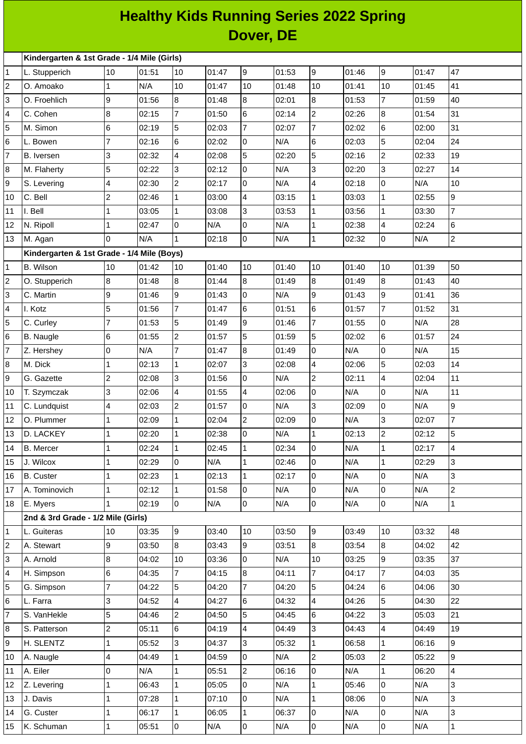## **Healthy Kids Running Series 2022 Spring Dover, DE**

|                         | Kindergarten & 1st Grade - 1/4 Mile (Girls) |                          |       |                 |                |                |                |                |       |                |       |                |
|-------------------------|---------------------------------------------|--------------------------|-------|-----------------|----------------|----------------|----------------|----------------|-------|----------------|-------|----------------|
| 1                       | L. Stupperich                               | 10                       | 01:51 | 10              | 01:47          | 9              | 01:53          | 9              | 01:46 | 9              | 01:47 | 47             |
| $\overline{\mathbf{c}}$ | O. Amoako                                   | $\mathbf{1}$             | N/A   | 10              | 01:47          | 10             | 01:48          | 10             | 01:41 | 10             | 01:45 | 41             |
| 3                       | O. Froehlich                                | 9                        | 01:56 | 8               | 01:48          | 8              | 02:01          | 8              | 01:53 | $\overline{7}$ | 01:59 | 40             |
| 4                       | C. Cohen                                    | 8                        | 02:15 | 7               | 01:50          | 6              | 02:14          | 2              | 02:26 | 8              | 01:54 | 31             |
| 5                       | M. Simon                                    | 6                        | 02:19 | 5               | 02:03          | $\overline{7}$ | 02:07          | $\overline{7}$ | 02:02 | 6              | 02:00 | 31             |
| 6                       | L. Bowen                                    | 7                        | 02:16 | $6\overline{6}$ | 02:02          | 0              | N/A            | 6              | 02:03 | 5              | 02:04 | 24             |
| $\overline{7}$          | B. Iversen                                  | 3                        | 02:32 | $\overline{4}$  | 02:08          | 5              | 02:20          | 5              | 02:16 | $\overline{c}$ | 02:33 | 19             |
| 8                       | M. Flaherty                                 | 5                        | 02:22 | 3               | 02:12          | 0              | N/A            | 3              | 02:20 | 3              | 02:27 | 14             |
| 9                       | S. Levering                                 | 4                        | 02:30 | $\overline{c}$  | 02:17          | 0              | N/A            | 4              | 02:18 | 0              | N/A   | 10             |
| 10                      | C. Bell                                     | $\overline{c}$           | 02:46 | $\mathbf{1}$    | 03:00          | $\overline{4}$ | 03:15          | $\mathbf{1}$   | 03:03 | $\mathbf{1}$   | 02:55 | $\overline{9}$ |
| 11                      | I. Bell                                     | 1                        | 03:05 | $\mathbf{1}$    | 03:08          | 3              | 03:53          | $\mathbf{1}$   | 03:56 | $\mathbf{1}$   | 03:30 | $\overline{7}$ |
| 12                      | N. Ripoll                                   | $\mathbf{1}$             | 02:47 | 0               | N/A            | 0              | N/A            | 1              | 02:38 | 4              | 02:24 | 6              |
| 13                      | M. Agan                                     | <sup>0</sup>             | N/A   | $\mathbf{1}$    | 02:18          | 0              | N/A            | $\mathbf 1$    | 02:32 | 0              | N/A   | $\overline{2}$ |
|                         | Kindergarten & 1st Grade - 1/4 Mile (Boys)  |                          |       |                 |                |                |                |                |       |                |       |                |
| 1                       | <b>B.</b> Wilson                            | 10                       | 01:42 | 10              | 01:40          | 10             | 01:40          | 10             | 01:40 | 10             | 01:39 | 50             |
| 2                       | O. Stupperich                               | 8                        | 01:48 | $\overline{8}$  | 01:44          | 8              | 01:49          | 8              | 01:49 | 8              | 01:43 | 40             |
| 3                       | C. Martin                                   | 9                        | 01:46 | 9               | 01:43          | $\overline{0}$ | N/A            | 9              | 01:43 | 9              | 01:41 | 36             |
| 4                       | I. Kotz                                     | 5                        | 01:56 | $\overline{7}$  | 01:47          | 6              | 01:51          | 6              | 01:57 | $\overline{7}$ | 01:52 | 31             |
| 5                       | C. Curley                                   | $\overline{7}$           | 01:53 | 5               | 01:49          | 9              | 01:46          | $\overline{7}$ | 01:55 | 0              | N/A   | 28             |
| 6                       | <b>B.</b> Naugle                            | 6                        | 01:55 | $\overline{c}$  | 01:57          | 5              | 01:59          | 5              | 02:02 | 6              | 01:57 | 24             |
| 7                       | Z. Hershey                                  | 0                        | N/A   | $\overline{7}$  | 01:47          | $\overline{8}$ | 01:49          | 0              | N/A   | 0              | N/A   | 15             |
| 8                       | M. Dick                                     | 1                        | 02:13 | $\mathbf{1}$    | 02:07          | 3              | 02:08          | 4              | 02:06 | 5              | 02:03 | 14             |
| 9                       | G. Gazette                                  | $\overline{c}$           | 02:08 | 3               | 01:56          | 0              | N/A            | $\overline{c}$ | 02:11 | $\overline{4}$ | 02:04 | 11             |
| 10                      | T. Szymczak                                 | 3                        | 02:06 | $\overline{4}$  | 01:55          | $\overline{4}$ | 02:06          | 0              | N/A   | 0              | N/A   | 11             |
| 11                      | C. Lundquist                                | $\overline{\mathcal{A}}$ | 02:03 | $\overline{c}$  | 01:57          | 0              | N/A            | 3              | 02:09 | 0              | N/A   | 9              |
| 12                      | O. Plummer                                  | $\mathbf{1}$             | 02:09 | $\mathbf{1}$    | 02:04          | $\overline{c}$ | 02:09          | 0              | N/A   | 3              | 02:07 | $\overline{7}$ |
| 13                      | D. LACKEY                                   | 1                        | 02:20 | $\mathbf{1}$    | 02:38          | 0              | N/A            | 1              | 02:13 | $\overline{c}$ | 02:12 | 5              |
| 14                      | <b>B.</b> Mercer                            | $\mathbf{1}$             | 02:24 | 1               | 02:45          | $ 1\rangle$    | 02:34          | 10             | N/A   | $\mathbf{1}$   | 02:17 | 4              |
| 15                      | J. Wilcox                                   | $\mathbf{1}$             | 02:29 | l0              | N/A            | $\mathbf{1}$   | 02:46          | 0              | N/A   | $\mathbf{1}$   | 02:29 | 3              |
| 16                      | <b>B.</b> Custer                            | $\mathbf{1}$             | 02:23 | $\mathbf{1}$    | 02:13          | $\mathbf{1}$   | 02:17          | 0              | N/A   | $\overline{0}$ | N/A   | 3              |
| 17                      | A. Tominovich                               | 1                        | 02:12 | $\mathbf{1}$    | 01:58          | 0              | N/A            | 0              | N/A   | 0              | N/A   | $\overline{2}$ |
| 18                      | E. Myers                                    | $\mathbf{1}$             | 02:19 | 0               | N/A            | 0              | N/A            | 0              | N/A   | 0              | N/A   | $\mathbf{1}$   |
|                         | 2nd & 3rd Grade - 1/2 Mile (Girls)          | 10                       | 03:35 | 9               |                | 10             |                | 9              | 03:49 | 10             | 03:32 | 48             |
| 1<br>$\overline{c}$     | L. Guiteras<br>A. Stewart                   | 9                        | 03:50 | 8               | 03:40<br>03:43 | 9              | 03:50<br>03:51 | 8              | 03:54 | 8              | 04:02 | 42             |
| 3                       | A. Arnold                                   | 8                        | 04:02 | 10              | 03:36          | 0              | N/A            | 10             | 03:25 | 9              | 03:35 | 37             |
| 4                       | H. Simpson                                  | 6                        | 04:35 | $\overline{7}$  | 04:15          | 8              | 04:11          | $\overline{7}$ | 04:17 | $\overline{7}$ | 04:03 | 35             |
| 5                       | G. Simpson                                  | 7                        | 04:22 | 5               | 04:20          | 7              | 04:20          | 5              | 04:24 | 6              | 04:06 | 30             |
| 6                       | L. Farra                                    | 3                        | 04:52 | 4               | 04:27          | 6              | 04:32          | $\overline{4}$ | 04:26 | 5              | 04:30 | 22             |
| 7                       | S. VanHekle                                 | 5                        | 04:46 | $\overline{c}$  | 04:50          | 5              | 04:45          | 6              | 04:22 | 3              | 05:03 | 21             |
| 8                       | S. Patterson                                | $\overline{c}$           | 05:11 | 6               | 04:19          | 4              | 04:49          | 3              | 04:43 | 4              | 04:49 | 19             |
| 9                       | H. SLENTZ                                   | $\mathbf{1}$             | 05:52 | 3               | 04:37          | 3              | 05:32          | $\mathbf 1$    | 06:58 | $\mathbf{1}$   | 06:16 | 9              |
| 10                      | A. Naugle                                   | 4                        | 04:49 | $\mathbf{1}$    | 04:59          | 0              | N/A            | $\overline{c}$ | 05:03 | $\overline{c}$ | 05:22 | 9              |
| 11                      | A. Eiler                                    | $\overline{0}$           | N/A   | $\mathbf{1}$    | 05:51          | $\overline{c}$ | 06:16          | 0              | N/A   | $\mathbf{1}$   | 06:20 | $\overline{4}$ |
| 12                      | Z. Levering                                 | $\mathbf{1}$             | 06:43 | $\mathbf{1}$    | 05:05          | 0              | N/A            | $\mathbf{1}$   | 05:46 | 0              | N/A   | 3              |
| 13                      | J. Davis                                    | $\mathbf{1}$             | 07:28 | $\mathbf{1}$    | 07:10          | 0              | N/A            | $\mathbf 1$    | 08:06 | 0              | N/A   | 3              |
| 14                      | G. Custer                                   | 1                        | 06:17 | 1               | 06:05          | 1              | 06:37          | 0              | N/A   | 0              | N/A   | 3              |
| 15                      | K. Schuman                                  | $\mathbf{1}$             | 05:51 | $\overline{0}$  | N/A            | 0              | N/A            | 0              | N/A   | 0              | N/A   | $\mathbf 1$    |
|                         |                                             |                          |       |                 |                |                |                |                |       |                |       |                |